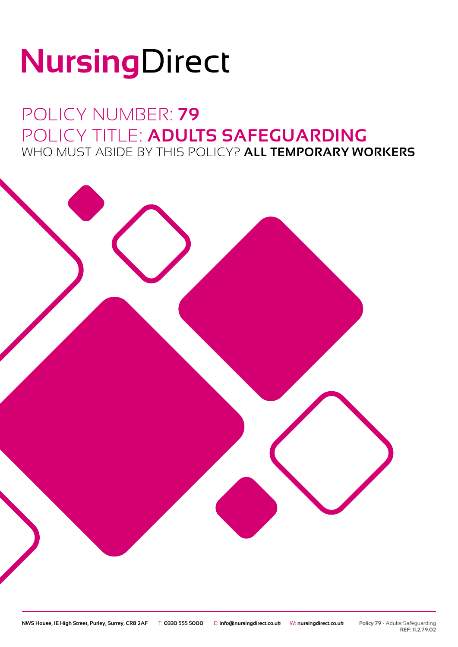# NursingDirect

## POLICY NUMBER: **79** POLICY TITLE: **ADULTS SAFEGUARDING** WHO MUST ABIDE BY THIS POLICY? **ALL TEMPORARY WORKERS**

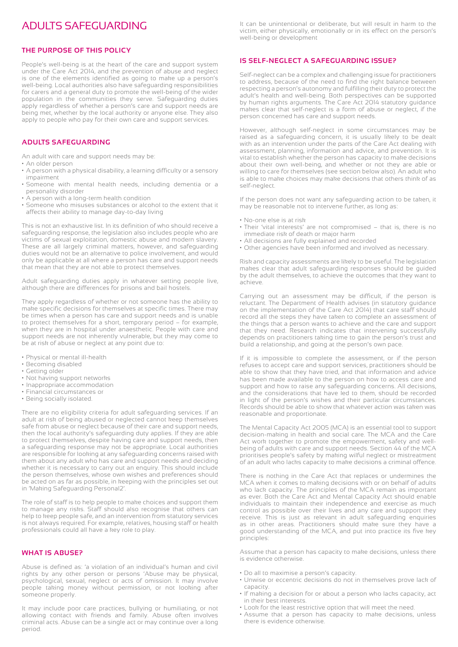### ADULTS SAFEGUARDING

#### **THE PURPOSE OF THIS POLICY**

People's well-being is at the heart of the care and support system under the Care Act 2014, and the prevention of abuse and neglect is one of the elements identified as going to make up a person's well-being. Local authorities also have safeguarding responsibilities for carers and a general duty to promote the well-being of the wider population in the communities they serve. Safeguarding duties apply regardless of whether a person's care and support needs are being met, whether by the local authority or anyone else. They also apply to people who pay for their own care and support services.

#### **ADULTS SAFEGUARDING**

An adult with care and support needs may be:

- An older person
- A person with a physical disability, a learning difficulty or a sensory impairment
- Someone with mental health needs, including dementia or a personality disorder
- A person with a long-term health condition
- Someone who misuses substances or alcohol to the extent that it affects their ability to manage day-to-day living

This is not an exhaustive list. In its definition of who should receive a safeguarding response, the legislation also includes people who are victims of sexual exploitation, domestic abuse and modern slavery. These are all largely criminal matters, however, and safeguarding duties would not be an alternative to police involvement, and would only be applicable at all where a person has care and support needs that mean that they are not able to protect themselves.

Adult safeguarding duties apply in whatever setting people live, although there are differences for prisons and bail hostels.

They apply regardless of whether or not someone has the ability to make specific decisions for themselves at specific times. There may be times when a person has care and support needs and is unable to protect themselves for a short, temporary period – for example, when they are in hospital under anaesthetic. People with care and support needs are not inherently vulnerable, but they may come to be at risk of abuse or neglect at any point due to:

- Physical or mental ill-health
- Becoming disabled
- Getting older
- Not having support networks
- Inappropriate accommodation
- Financial circumstances or
- Being socially isolated.

There are no eligibility criteria for adult safeguarding services. If an adult at risk of being abused or neglected cannot keep themselves safe from abuse or neglect because of their care and support needs, then the local authority's safeguarding duty applies. If they are able to protect themselves, despite having care and support needs, then a safeguarding response may not be appropriate. Local authorities are responsible for looking at any safeguarding concerns raised with them about any adult who has care and support needs and deciding whether it is necessary to carry out an enquiry. This should include the person themselves, whose own wishes and preferences should be acted on as far as possible, in keeping with the principles set out in 'Making Safeguarding Personal2'.

The role of staff is to help people to make choices and support them to manage any risks. Staff should also recognise that others can help to keep people safe, and an intervention from statutory services is not always required. For example, relatives, housing staff or health professionals could all have a key role to play.

#### **WHAT IS ABUSE?**

Abuse is defined as: 'a violation of an individual's human and civil rights by any other person or persons 'Abuse may be physical, psychological, sexual, neglect or acts of omission. It may involve people taking money without permission, or not looking after someone properly.

It may include poor care practices, bullying or humiliating, or not allowing contact with friends and family. Abuse often involves criminal acts. Abuse can be a single act or may continue over a long period.

It can be unintentional or deliberate, but will result in harm to the victim, either physically, emotionally or in its effect on the person's well-being or development

#### **IS SELF-NEGLECT A SAFEGUARDING ISSUE?**

Self-neglect can be a complex and challenging issue for practitioners to address, because of the need to find the right balance between respecting a person's autonomy and fulfilling their duty to protect the adult's health and well-being. Both perspectives can be supported by human rights arguments. The Care Act 2014 statutory guidance makes clear that self-neglect is a form of abuse or neglect, if the person concerned has care and support needs.

However, although self-neglect in some circumstances may be raised as a safeguarding concern, it is usually likely to be dealt with as an intervention under the parts of the Care Act dealing with assessment, planning, information and advice, and prevention. It is vital to establish whether the person has capacity to make decisions about their own well-being, and whether or not they are able or willing to care for themselves (see section below also). An adult who is able to make choices may make decisions that others think of as self-neglect.

If the person does not want any safeguarding action to be taken, it may be reasonable not to intervene further, as long as:

- No-one else is at risk
- Their 'vital interests' are not compromised that is, there is no immediate risk of death or major harm
- All decisions are fully explained and recorded
- Other agencies have been informed and involved as necessary.

Risk and capacity assessments are likely to be useful. The legislation makes clear that adult safeguarding responses should be guided by the adult themselves, to achieve the outcomes that they want to achieve.

Carrying out an assessment may be difficult, if the person is reluctant. The Department of Health advises (in statutory guidance on the implementation of the Care Act 2014) that care staff should record all the steps they have taken to complete an assessment of the things that a person wants to achieve and the care and support that they need. Research indicates that intervening successfully depends on practitioners taking time to gain the person's trust and build a relationship, and going at the person's own pace.

If it is impossible to complete the assessment, or if the person refuses to accept care and support services, practitioners should be able to show that they have tried, and that information and advice has been made available to the person on how to access care and support and how to raise any safeguarding concerns. All decisions, and the considerations that have led to them, should be recorded in light of the person's wishes and their particular circumstances. Records should be able to show that whatever action was taken was reasonable and proportionate.

The Mental Capacity Act 2005 (MCA) is an essential tool to support decision-making in health and social care. The MCA and the Care Act work together to promote the empowerment, safety and wellbeing of adults with care and support needs. Section 44 of the MCA prioritises people's safety by making wilful neglect or mistreatment of an adult who lacks capacity to make decisions a criminal offence.

There is nothing in the Care Act that replaces or undermines the MCA when it comes to making decisions with or on behalf of adults who lack capacity. The principles of the MCA remain as important as ever. Both the Care Act and Mental Capacity Act should enable individuals to maintain their independence and exercise as much control as possible over their lives and any care and support they receive. This is just as relevant in adult safeguarding enquiries as in other areas. Practitioners should make sure they have a good understanding of the MCA, and put into practice its five key principles:

Assume that a person has capacity to make decisions, unless there is evidence otherwise.

- Do all to maximise a person's capacity.
- Unwise or eccentric decisions do not in themselves prove lack of capacity.
- If making a decision for or about a person who lacks capacity, act in their best interests.
- Look for the least restrictive option that will meet the need.
- Assume that a person has capacity to make decisions, unless there is evidence otherwise.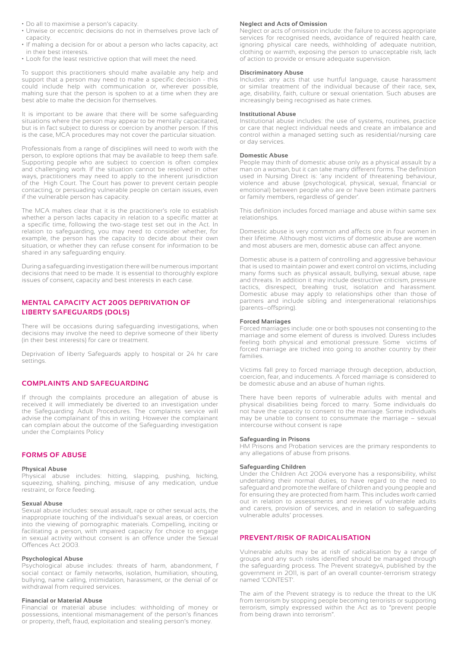- Do all to maximise a person's capacity.
- Unwise or eccentric decisions do not in themselves prove lack of capacity.
- If making a decision for or about a person who lacks capacity, act in their best interests.
- Look for the least restrictive option that will meet the need.

To support this practitioners should make available any help and support that a person may need to make a specific decision - this could include help with communication or, wherever possible, making sure that the person is spoken to at a time when they are best able to make the decision for themselves.

It is important to be aware that there will be some safeguarding situations where the person may appear to be mentally capacitated, but is in fact subject to duress or coercion by another person. If this is the case, MCA procedures may not cover the particular situation.

Professionals from a range of disciplines will need to work with the person, to explore options that may be available to keep them safe. Supporting people who are subject to coercion is often complex and challenging work. If the situation cannot be resolved in other ways, practitioners may need to apply to the inherent jurisdiction of the High Court. The Court has power to prevent certain people contacting, or persuading vulnerable people on certain issues, even if the vulnerable person has capacity.

The MCA makes clear that it is the practitioner's role to establish whether a person lacks capacity in relation to a specific matter at a specific time, following the two-stage test set out in the Act. In relation to safeguarding, you may need to consider whether, for example, the person has the capacity to decide about their own situation, or whether they can refuse consent for information to be shared in any safeguarding enquiry.

During a safeguarding investigation there will be numerous important decisions that need to be made. It is essential to thoroughly explore issues of consent, capacity and best interests in each case.

#### **MENTAL CAPACITY ACT 2005 DEPRIVATION OF LIBERTY SAFEGUARDS (DOLS)**

There will be occasions during safeguarding investigations, when decisions may involve the need to deprive someone of their liberty (in their best interests) for care or treatment.

Deprivation of liberty Safeguards apply to hospital or 24 hr care settings.

#### **COMPLAINTS AND SAFEGUARDING**

If through the complaints procedure an allegation of abuse is received it will immediately be diverted to an investigation under the Safeguarding Adult Procedures. The complaints service will advise the complainant of this in writing. However the complainant can complain about the outcome of the Safeguarding investigation under the Complaints Policy

#### **FORMS OF ABUSE**

#### **Physical Abuse**

Physical abuse includes: hitting, slapping, pushing, kicking, squeezing, shaking, pinching, misuse of any medication, undue restraint, or force feeding.

#### **Sexual Abuse**

Sexual abuse includes: sexual assault, rape or other sexual acts, the inappropriate touching of the individual's sexual areas, or coercion into the viewing of pornographic materials. Compelling, inciting or facilitating a person, with impaired capacity for choice to engage in sexual activity without consent is an offence under the Sexual Offences Act 2003.

#### **Psychological Abuse**

Psychological abuse includes: threats of harm, abandonment, f social contact or family networks, isolation, humiliation, shouting, bullying, name calling, intimidation, harassment, or the denial of or withdrawal from required services.

#### **Financial or Material Abuse**

Financial or material abuse includes: withholding of money or possessions, intentional mismanagement of the person's finances or property, theft, fraud, exploitation and stealing person's money.

#### **Neglect and Acts of Omission**

Neglect or acts of omission include: the failure to access appropriate services for recognised needs, avoidance of required health care, ignoring physical care needs, withholding of adequate nutrition, clothing or warmth, exposing the person to unacceptable risk, lack of action to provide or ensure adequate supervision.

#### **Discriminatory Abuse**

Includes: any acts that use hurtful language, cause harassment or similar treatment of the individual because of their race, sex, age, disability, faith, culture or sexual orientation. Such abuses are increasingly being recognised as hate crimes.

#### **Institutional Abuse**

Institutional abuse includes: the use of systems, routines, practice or care that neglect individual needs and create an imbalance and control within a managed setting such as residential/nursing care or day services.

#### **Domestic Abuse**

People may think of domestic abuse only as a physical assault by a man on a woman, but it can take many different forms. The definition used in Nursing Direct is: 'any incident of threatening behaviour, violence and abuse (psychological, physical, sexual, financial or emotional) between people who are or have been intimate partners or family members, regardless of gender'.

This definition includes forced marriage and abuse within same sex relationships.

Domestic abuse is very common and affects one in four women in their lifetime. Although most victims of domestic abuse are women and most abusers are men, domestic abuse can affect anyone.

Domestic abuse is a pattern of controlling and aggressive behaviour that is used to maintain power and exert control on victims, including many forms such as physical assault, bullying, sexual abuse, rape and threats. In addition it may include destructive criticism, pressure tactics, disrespect, breaking trust, isolation and harassment. Domestic abuse may apply to relationships other than those of partners and include sibling and intergenerational relationships (parents–offspring).

#### **Forced Marriages**

Forced marriages include: one or both spouses not consenting to the marriage and some element of duress is involved. Duress includes feeling both physical and emotional pressure. Some victims of forced marriage are tricked into going to another country by their families.

Victims fall prey to forced marriage through deception, abduction, coercion, fear, and inducements. A forced marriage is considered to be domestic abuse and an abuse of human rights.

There have been reports of vulnerable adults with mental and physical disabilities being forced to marry. Some individuals do not have the capacity to consent to the marriage. Some individuals may be unable to consent to consummate the marriage – sexual intercourse without consent is rape

#### **Safeguarding in Prisons**

HM Prisons and Probation services are the primary respondents to any allegations of abuse from prisons.

#### **Safeguarding Children**

Under the Children Act 2004 everyone has a responsibility, whilst undertaking their normal duties, to have regard to the need to safeguard and promote the welfare of children and young people and for ensuring they are protected from harm. This includes work carried out in relation to assessments and reviews of vulnerable adults and carers, provision of services, and in relation to safeguarding vulnerable adults' processes.

#### **PREVENT/RISK OF RADICALISATION**

Vulnerable adults may be at risk of radicalisation by a range of groups and any such risks identified should be managed through the safeguarding process. The Prevent strategy4, published by the government in 2011, is part of an overall counter-terrorism strategy named 'CONTEST'.

The aim of the Prevent strategy is to reduce the threat to the UK from terrorism by stopping people becoming terrorists or supporting terrorism, simply expressed within the Act as to "prevent people from being drawn into terrorism".